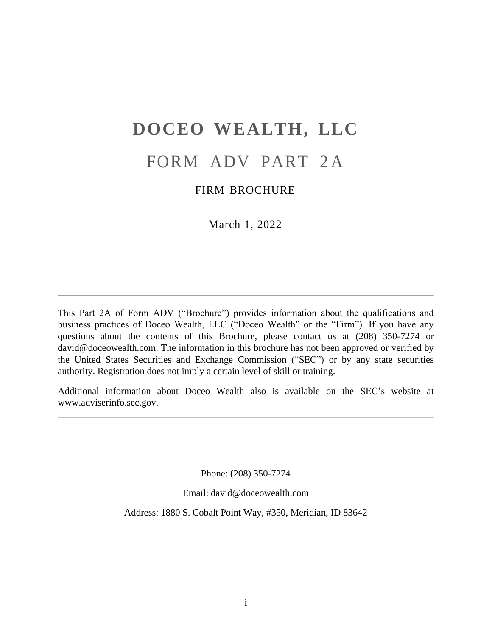# **DOCEO WEALTH, LLC**

## FORM ADV PART 2A

## FIRM BROCHURE

March 1, 2022

<span id="page-0-0"></span>This Part 2A of Form ADV ("Brochure") provides information about the qualifications and business practices of Doceo Wealth, LLC ("Doceo Wealth" or the "Firm"). If you have any questions about the contents of this Brochure, please contact us at (208) 350-7274 or [david@doceowealth.com. T](mailto:david@doceowealth.com)he information in this brochure has not been approved or verified by the United States Securities and Exchange Commission ("SEC") or by any state securities authority. Registration does not imply a certain level of skill or training.

Additional information about Doceo Wealth also is available on the SEC's website at [www.adviserinfo.sec.gov.](http://www.adviserinfo.sec.gov/)

Phone: (208) 350-7274

Email: [david@doceowealth.com](mailto:david@doceowealth.com)

Address: 1880 S. Cobalt Point Way, #350, Meridian, ID 83642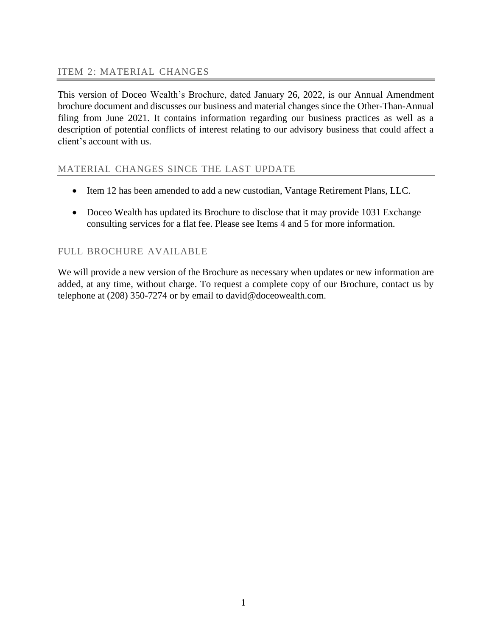<span id="page-1-0"></span>This version of Doceo Wealth's Brochure, dated January 26, 2022, is our Annual Amendment brochure document and discusses our business and material changes since the Other-Than-Annual filing from June 2021. It contains information regarding our business practices as well as a description of potential conflicts of interest relating to our advisory business that could affect a client's account with us.

## MATERIAL CHANGES SINCE THE LAST UPDATE

- Item 12 has been amended to add a new custodian, Vantage Retirement Plans, LLC.
- Doceo Wealth has updated its Brochure to disclose that it may provide 1031 Exchange consulting services for a flat fee. Please see Items 4 and 5 for more information.

## FULL BROCHURE AVAILABLE

We will provide a new version of the Brochure as necessary when updates or new information are added, at any time, without charge. To request a complete copy of our Brochure, contact us by telephone at (208) 350-7274 or by email to [david@doceowealth.com.](mailto:david@doceowealth.com)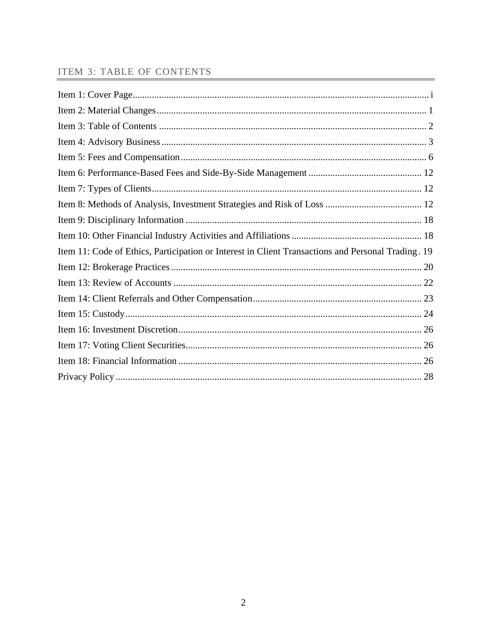## <span id="page-2-0"></span>**ITEM 3: TABLE OF CONTENTS**

| Item 11: Code of Ethics, Participation or Interest in Client Transactions and Personal Trading. 19 |  |
|----------------------------------------------------------------------------------------------------|--|
|                                                                                                    |  |
|                                                                                                    |  |
|                                                                                                    |  |
|                                                                                                    |  |
|                                                                                                    |  |
|                                                                                                    |  |
|                                                                                                    |  |
|                                                                                                    |  |
|                                                                                                    |  |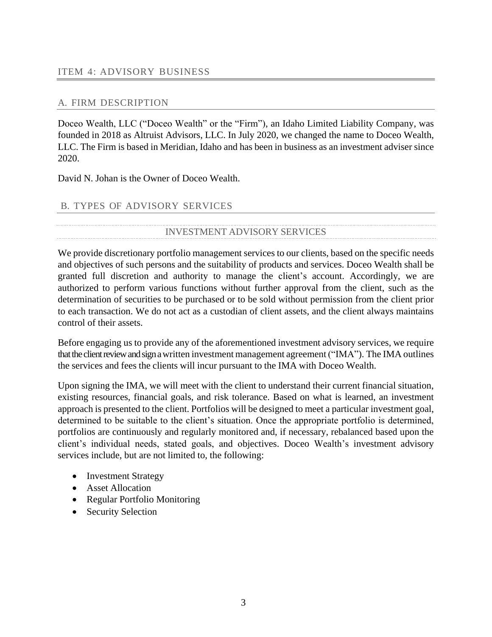## <span id="page-3-0"></span>A. FIRM DESCRIPTION

Doceo Wealth, LLC ("Doceo Wealth" or the "Firm"), an Idaho Limited Liability Company, was founded in 2018 as Altruist Advisors, LLC. In July 2020, we changed the name to Doceo Wealth, LLC. The Firm is based in Meridian, Idaho and has been in business as an investment adviser since 2020.

David N. Johan is the Owner of Doceo Wealth.

## B. TYPES OF ADVISORY SERVICES

## INVESTMENT ADVISORY SERVICES

We provide discretionary portfolio management services to our clients, based on the specific needs and objectives of such persons and the suitability of products and services. Doceo Wealth shall be granted full discretion and authority to manage the client's account. Accordingly, we are authorized to perform various functions without further approval from the client, such as the determination of securities to be purchased or to be sold without permission from the client prior to each transaction. We do not act as a custodian of client assets, and the client always maintains control of their assets.

Before engaging us to provide any of the aforementioned investment advisory services, we require that the client review and sign a written investment management agreement ("IMA"). The IMA outlines the services and fees the clients will incur pursuant to the IMA with Doceo Wealth.

Upon signing the IMA, we will meet with the client to understand their current financial situation, existing resources, financial goals, and risk tolerance. Based on what is learned, an investment approach is presented to the client. Portfolios will be designed to meet a particular investment goal, determined to be suitable to the client's situation. Once the appropriate portfolio is determined, portfolios are continuously and regularly monitored and, if necessary, rebalanced based upon the client's individual needs, stated goals, and objectives. Doceo Wealth's investment advisory services include, but are not limited to, the following:

- Investment Strategy
- Asset Allocation
- Regular Portfolio Monitoring
- Security Selection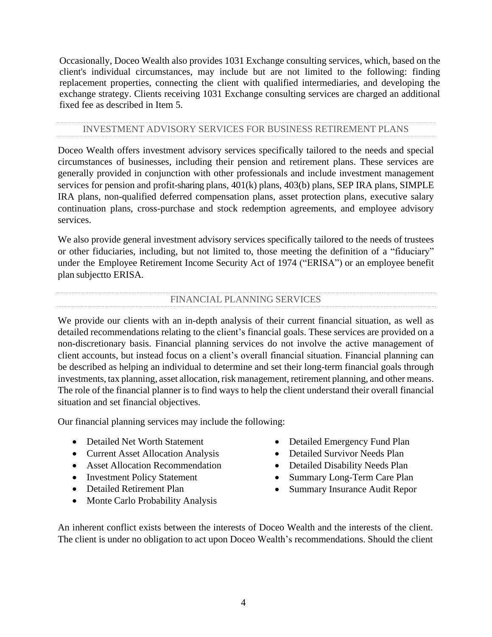Occasionally, Doceo Wealth also provides 1031 Exchange consulting services, which, based on the client's individual circumstances, may include but are not limited to the following: finding replacement properties, connecting the client with qualified intermediaries, and developing the exchange strategy. Clients receiving 1031 Exchange consulting services are charged an additional fixed fee as described in Item 5.

#### INVESTMENT ADVISORY SERVICES FOR BUSINESS RETIREMENT PLANS

Doceo Wealth offers investment advisory services specifically tailored to the needs and special circumstances of businesses, including their pension and retirement plans. These services are generally provided in conjunction with other professionals and include investment management services for pension and profit-sharing plans, 401(k) plans, 403(b) plans, SEP IRA plans, SIMPLE IRA plans, non-qualified deferred compensation plans, asset protection plans, executive salary continuation plans, cross-purchase and stock redemption agreements, and employee advisory services.

We also provide general investment advisory services specifically tailored to the needs of trustees or other fiduciaries, including, but not limited to, those meeting the definition of a "fiduciary" under the Employee Retirement Income Security Act of 1974 ("ERISA") or an employee benefit plan subjectto ERISA.

## FINANCIAL PLANNING SERVICES

We provide our clients with an in-depth analysis of their current financial situation, as well as detailed recommendations relating to the client's financial goals. These services are provided on a non-discretionary basis. Financial planning services do not involve the active management of client accounts, but instead focus on a client's overall financial situation. Financial planning can be described as helping an individual to determine and set their long-term financial goals through investments, tax planning, asset allocation, risk management, retirement planning, and other means. The role of the financial planner is to find ways to help the client understand their overall financial situation and set financial objectives.

Our financial planning services may include the following:

- Detailed Net Worth Statement
- Current Asset Allocation Analysis
- Asset Allocation Recommendation
- Investment Policy Statement
- Detailed Retirement Plan
- Monte Carlo Probability Analysis
- Detailed Emergency Fund Plan
- Detailed Survivor Needs Plan
- Detailed Disability Needs Plan
- Summary Long-Term Care Plan
- Summary Insurance Audit Repor

An inherent conflict exists between the interests of Doceo Wealth and the interests of the client. The client is under no obligation to act upon Doceo Wealth's recommendations. Should the client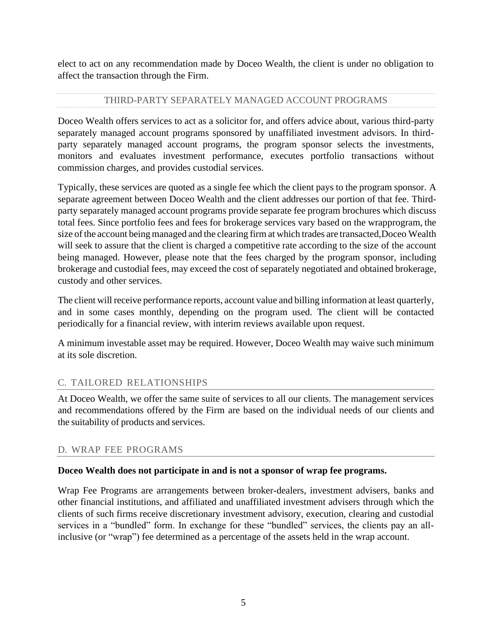elect to act on any recommendation made by Doceo Wealth, the client is under no obligation to affect the transaction through the Firm.

## THIRD-PARTY SEPARATELY MANAGED ACCOUNT PROGRAMS

Doceo Wealth offers services to act as a solicitor for, and offers advice about, various third-party separately managed account programs sponsored by unaffiliated investment advisors. In thirdparty separately managed account programs, the program sponsor selects the investments, monitors and evaluates investment performance, executes portfolio transactions without commission charges, and provides custodial services.

Typically, these services are quoted as a single fee which the client pays to the program sponsor. A separate agreement between Doceo Wealth and the client addresses our portion of that fee. Thirdparty separately managed account programs provide separate fee program brochures which discuss total fees. Since portfolio fees and fees for brokerage services vary based on the wrapprogram, the size of the account being managed and the clearing firm at which trades are transacted, Doceo Wealth will seek to assure that the client is charged a competitive rate according to the size of the account being managed. However, please note that the fees charged by the program sponsor, including brokerage and custodial fees, may exceed the cost of separately negotiated and obtained brokerage, custody and other services.

The client will receive performance reports, account value and billing information at least quarterly, and in some cases monthly, depending on the program used. The client will be contacted periodically for a financial review, with interim reviews available upon request.

A minimum investable asset may be required. However, Doceo Wealth may waive such minimum at its sole discretion.

## C. TAILORED RELATIONSHIPS

At Doceo Wealth, we offer the same suite of services to all our clients. The management services and recommendations offered by the Firm are based on the individual needs of our clients and the suitability of products and services.

## D. WRAP FEE PROGRAMS

## **Doceo Wealth does not participate in and is not a sponsor of wrap fee programs.**

Wrap Fee Programs are arrangements between broker-dealers, investment advisers, banks and other financial institutions, and affiliated and unaffiliated investment advisers through which the clients of such firms receive discretionary investment advisory, execution, clearing and custodial services in a "bundled" form. In exchange for these "bundled" services, the clients pay an allinclusive (or "wrap") fee determined as a percentage of the assets held in the wrap account.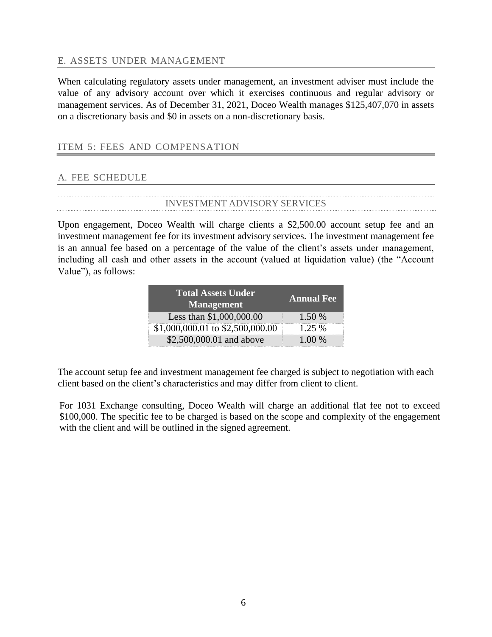#### E. ASSETS UNDER MANAGEMENT

When calculating regulatory assets under management, an investment adviser must include the value of any advisory account over which it exercises continuous and regular advisory or management services. As of December 31, 2021, Doceo Wealth manages \$125,407,070 in assets on a discretionary basis and \$0 in assets on a non-discretionary basis.

#### <span id="page-6-0"></span>ITEM 5: FEES AND COMPENSATION

## A. FEE SCHEDULE

#### INVESTMENT ADVISORY SERVICES

Upon engagement, Doceo Wealth will charge clients a \$2,500.00 account setup fee and an investment management fee for its investment advisory services. The investment management fee is an annual fee based on a percentage of the value of the client's assets under management, including all cash and other assets in the account (valued at liquidation value) (the "Account Value"), as follows:

| <b>Total Assets Under</b><br><b>Management</b> | <b>Annual Fee</b> |
|------------------------------------------------|-------------------|
| Less than \$1,000,000.00                       | 1.50 %            |
| \$1,000,000.01 to \$2,500,000.00               | $1.25\%$          |
| \$2,500,000.01 and above                       | $1.00\%$          |

The account setup fee and investment management fee charged is subject to negotiation with each client based on the client's characteristics and may differ from client to client.

For 1031 Exchange consulting, Doceo Wealth will charge an additional flat fee not to exceed \$100,000. The specific fee to be charged is based on the scope and complexity of the engagement with the client and will be outlined in the signed agreement.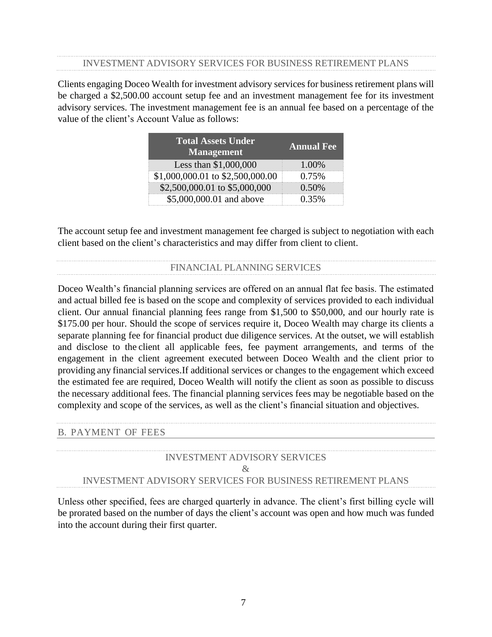#### INVESTMENT ADVISORY SERVICES FOR BUSINESS RETIREMENT PLANS

Clients engaging Doceo Wealth for investment advisory services for business retirement plans will be charged a \$2,500.00 account setup fee and an investment management fee for its investment advisory services. The investment management fee is an annual fee based on a percentage of the value of the client's Account Value as follows:

| <b>Total Assets Under</b><br><b>Management</b> | <b>Annual Fee</b> |
|------------------------------------------------|-------------------|
| Less than \$1,000,000                          | $1.00\%$          |
| \$1,000,000.01 to \$2,500,000.00               | 0.75%             |
| \$2,500,000.01 to \$5,000,000                  | $0.50\%$          |
| \$5,000,000.01 and above                       | 0.35%             |

The account setup fee and investment management fee charged is subject to negotiation with each client based on the client's characteristics and may differ from client to client.

## FINANCIAL PLANNING SERVICES

Doceo Wealth's financial planning services are offered on an annual flat fee basis. The estimated and actual billed fee is based on the scope and complexity of services provided to each individual client. Our annual financial planning fees range from \$1,500 to \$50,000, and our hourly rate is \$175.00 per hour. Should the scope of services require it, Doceo Wealth may charge its clients a separate planning fee for financial product due diligence services. At the outset, we will establish and disclose to the client all applicable fees, fee payment arrangements, and terms of the engagement in the client agreement executed between Doceo Wealth and the client prior to providing any financial services.If additional services or changes to the engagement which exceed the estimated fee are required, Doceo Wealth will notify the client as soon as possible to discuss the necessary additional fees. The financial planning services fees may be negotiable based on the complexity and scope of the services, as well as the client's financial situation and objectives.

#### B. PAYMENT OF FEES

## INVESTMENT ADVISORY SERVICES & INVESTMENT ADVISORY SERVICES FOR BUSINESS RETIREMENT PLANS

Unless other specified, fees are charged quarterly in advance. The client's first billing cycle will be prorated based on the number of days the client's account was open and how much was funded into the account during their first quarter.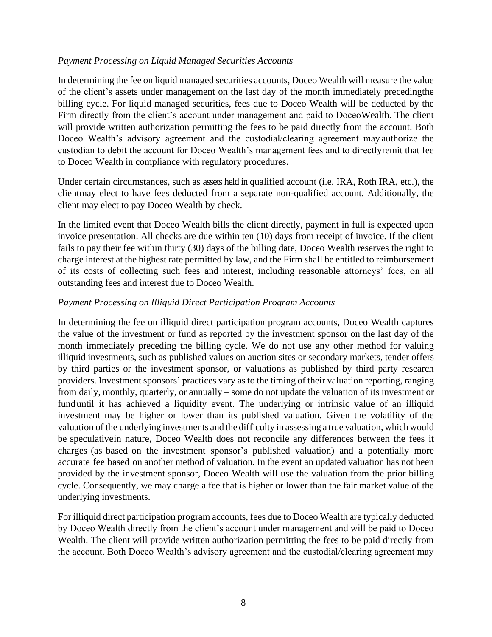## *Payment Processing on Liquid Managed Securities Accounts*

In determining the fee on liquid managed securities accounts, Doceo Wealth will measure the value of the client's assets under management on the last day of the month immediately precedingthe billing cycle. For liquid managed securities, fees due to Doceo Wealth will be deducted by the Firm directly from the client's account under management and paid to DoceoWealth. The client will provide written authorization permitting the fees to be paid directly from the account. Both Doceo Wealth's advisory agreement and the custodial/clearing agreement may authorize the custodian to debit the account for Doceo Wealth's management fees and to directlyremit that fee to Doceo Wealth in compliance with regulatory procedures.

Under certain circumstances, such as assets held in qualified account (i.e. IRA, Roth IRA, etc.), the clientmay elect to have fees deducted from a separate non-qualified account. Additionally, the client may elect to pay Doceo Wealth by check.

In the limited event that Doceo Wealth bills the client directly, payment in full is expected upon invoice presentation. All checks are due within ten (10) days from receipt of invoice. If the client fails to pay their fee within thirty (30) days of the billing date, Doceo Wealth reserves the right to charge interest at the highest rate permitted by law, and the Firm shall be entitled to reimbursement of its costs of collecting such fees and interest, including reasonable attorneys' fees, on all outstanding fees and interest due to Doceo Wealth.

## *Payment Processing on Illiquid Direct Participation Program Accounts*

In determining the fee on illiquid direct participation program accounts, Doceo Wealth captures the value of the investment or fund as reported by the investment sponsor on the last day of the month immediately preceding the billing cycle. We do not use any other method for valuing illiquid investments, such as published values on auction sites or secondary markets, tender offers by third parties or the investment sponsor, or valuations as published by third party research providers. Investment sponsors' practices vary as to the timing of their valuation reporting, ranging from daily, monthly, quarterly, or annually – some do not update the valuation of its investment or funduntil it has achieved a liquidity event. The underlying or intrinsic value of an illiquid investment may be higher or lower than its published valuation. Given the volatility of the valuation of the underlying investments and the difficulty in assessing a true valuation, which would be speculativein nature, Doceo Wealth does not reconcile any differences between the fees it charges (as based on the investment sponsor's published valuation) and a potentially more accurate fee based on another method of valuation. In the event an updated valuation has not been provided by the investment sponsor, Doceo Wealth will use the valuation from the prior billing cycle. Consequently, we may charge a fee that is higher or lower than the fair market value of the underlying investments.

For illiquid direct participation program accounts, fees due to Doceo Wealth are typically deducted by Doceo Wealth directly from the client's account under management and will be paid to Doceo Wealth. The client will provide written authorization permitting the fees to be paid directly from the account. Both Doceo Wealth's advisory agreement and the custodial/clearing agreement may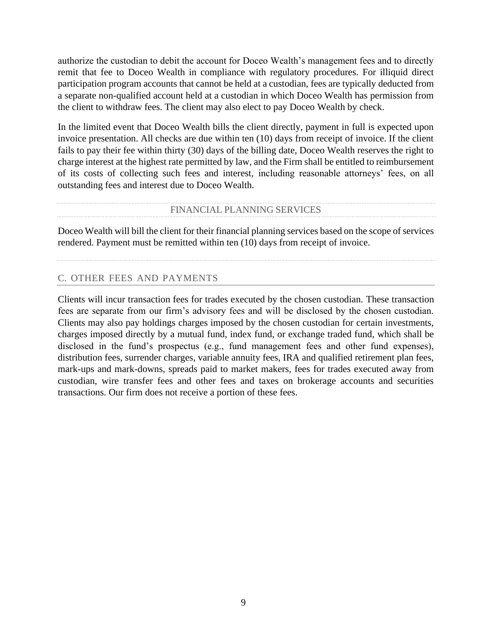authorize the custodian to debit the account for Doceo Wealth's management fees and to directly remit that fee to Doceo Wealth in compliance with regulatory procedures. For illiquid direct participation program accounts that cannot be held at a custodian, fees are typically deducted from a separate non-qualified account held at a custodian in which Doceo Wealth has permission from the client to withdraw fees. The client may also elect to pay Doceo Wealth by check.

In the limited event that Doceo Wealth bills the client directly, payment in full is expected upon invoice presentation. All checks are due within ten (10) days from receipt of invoice. If the client fails to pay their fee within thirty (30) days of the billing date, Doceo Wealth reserves the right to charge interest at the highest rate permitted by law, and the Firm shall be entitled to reimbursement of its costs of collecting such fees and interest, including reasonable attorneys' fees, on all outstanding fees and interest due to Doceo Wealth.

#### FINANCIAL PLANNING SERVICES

Doceo Wealth will bill the client for their financial planning services based on the scope of services rendered. Payment must be remitted within ten (10) days from receipt of invoice.

## C. OTHER FEES AND PAYMENTS

Clients will incur transaction fees for trades executed by the chosen custodian. These transaction fees are separate from our firm's advisory fees and will be disclosed by the chosen custodian. Clients may also pay holdings charges imposed by the chosen custodian for certain investments, charges imposed directly by a mutual fund, index fund, or exchange traded fund, which shall be disclosed in the fund's prospectus (e.g., fund management fees and other fund expenses), distribution fees, surrender charges, variable annuity fees, IRA and qualified retirement plan fees, mark-ups and mark-downs, spreads paid to market makers, fees for trades executed away from custodian, wire transfer fees and other fees and taxes on brokerage accounts and securities transactions. Our firm does not receive a portion of these fees.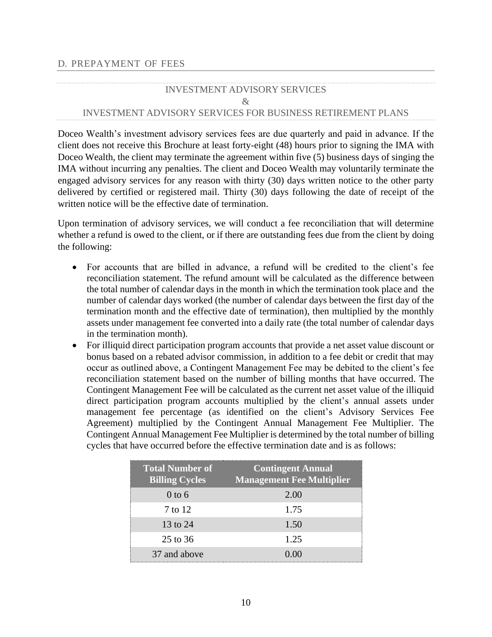## INVESTMENT ADVISORY SERVICES & INVESTMENT ADVISORY SERVICES FOR BUSINESS RETIREMENT PLANS

Doceo Wealth's investment advisory services fees are due quarterly and paid in advance. If the client does not receive this Brochure at least forty-eight (48) hours prior to signing the IMA with Doceo Wealth, the client may terminate the agreement within five (5) business days of singing the IMA without incurring any penalties. The client and Doceo Wealth may voluntarily terminate the engaged advisory services for any reason with thirty (30) days written notice to the other party delivered by certified or registered mail. Thirty (30) days following the date of receipt of the written notice will be the effective date of termination.

Upon termination of advisory services, we will conduct a fee reconciliation that will determine whether a refund is owed to the client, or if there are outstanding fees due from the client by doing the following:

- For accounts that are billed in advance, a refund will be credited to the client's fee reconciliation statement. The refund amount will be calculated as the difference between the total number of calendar days in the month in which the termination took place and the number of calendar days worked (the number of calendar days between the first day of the termination month and the effective date of termination), then multiplied by the monthly assets under management fee converted into a daily rate (the total number of calendar days in the termination month).
- For illiquid direct participation program accounts that provide a net asset value discount or bonus based on a rebated advisor commission, in addition to a fee debit or credit that may occur as outlined above, a Contingent Management Fee may be debited to the client's fee reconciliation statement based on the number of billing months that have occurred. The Contingent Management Fee will be calculated as the current net asset value of the illiquid direct participation program accounts multiplied by the client's annual assets under management fee percentage (as identified on the client's Advisory Services Fee Agreement) multiplied by the Contingent Annual Management Fee Multiplier. The Contingent Annual Management Fee Multiplier is determined by the total number of billing cycles that have occurred before the effective termination date and is as follows:

| <b>Total Number of</b><br><b>Billing Cycles</b> | <b>Contingent Annual</b><br><b>Management Fee Multiplier</b> |
|-------------------------------------------------|--------------------------------------------------------------|
| $0$ to 6                                        | 2.00                                                         |
| 7 to 12                                         | 1.75                                                         |
| 13 to 24                                        | 1.50                                                         |
| $25 \text{ to } 36$                             | 1.25                                                         |
| 37 and above                                    | (0.00)                                                       |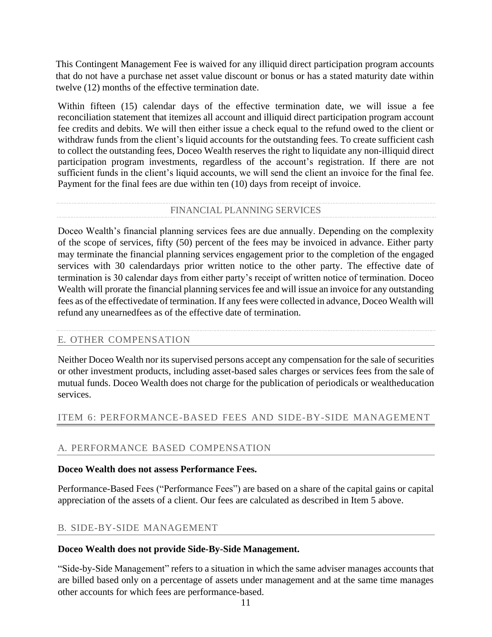This Contingent Management Fee is waived for any illiquid direct participation program accounts that do not have a purchase net asset value discount or bonus or has a stated maturity date within twelve (12) months of the effective termination date.

Within fifteen (15) calendar days of the effective termination date, we will issue a fee reconciliation statement that itemizes all account and illiquid direct participation program account fee credits and debits. We will then either issue a check equal to the refund owed to the client or withdraw funds from the client's liquid accounts for the outstanding fees. To create sufficient cash to collect the outstanding fees, Doceo Wealth reserves the right to liquidate any non-illiquid direct participation program investments, regardless of the account's registration. If there are not sufficient funds in the client's liquid accounts, we will send the client an invoice for the final fee. Payment for the final fees are due within ten (10) days from receipt of invoice.

#### FINANCIAL PLANNING SERVICES

Doceo Wealth's financial planning services fees are due annually. Depending on the complexity of the scope of services, fifty (50) percent of the fees may be invoiced in advance. Either party may terminate the financial planning services engagement prior to the completion of the engaged services with 30 calendardays prior written notice to the other party. The effective date of termination is 30 calendar days from either party's receipt of written notice of termination. Doceo Wealth will prorate the financial planning services fee and will issue an invoice for any outstanding fees as of the effectivedate of termination. If any fees were collected in advance, Doceo Wealth will refund any unearnedfees as of the effective date of termination.

## E. OTHER COMPENSATION

Neither Doceo Wealth nor its supervised persons accept any compensation for the sale of securities or other investment products, including asset-based sales charges or services fees from the sale of mutual funds. Doceo Wealth does not charge for the publication of periodicals or wealtheducation services.

## <span id="page-11-0"></span>ITEM 6: PERFORMANCE-BASED FEES AND SIDE-BY-SIDE MANAGEMENT

## A. PERFORMANCE BASED COMPENSATION

#### **Doceo Wealth does not assess Performance Fees.**

Performance-Based Fees ("Performance Fees") are based on a share of the capital gains or capital appreciation of the assets of a client. Our fees are calculated as described in Item 5 above.

## B. SIDE-BY-SIDE MANAGEMENT

#### **Doceo Wealth does not provide Side-By-Side Management.**

"Side-by-Side Management" refers to a situation in which the same adviser manages accounts that are billed based only on a percentage of assets under management and at the same time manages other accounts for which fees are performance-based.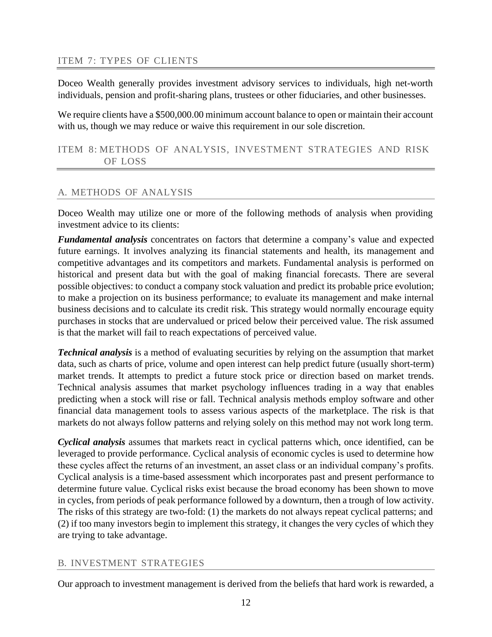## <span id="page-12-0"></span>ITEM 7: TYPES OF CLIENTS

Doceo Wealth generally provides investment advisory services to individuals, high net-worth individuals, pension and profit-sharing plans, trustees or other fiduciaries, and other businesses.

We require clients have a \$500,000.00 minimum account balance to open or maintain their account with us, though we may reduce or waive this requirement in our sole discretion.

<span id="page-12-1"></span>ITEM 8: METHODS OF ANALYSIS, INVESTMENT STRATEGIES AND RISK OF LOSS

## A. METHODS OF ANALYSIS

Doceo Wealth may utilize one or more of the following methods of analysis when providing investment advice to its clients:

*Fundamental analysis* concentrates on factors that determine a company's value and expected future earnings. It involves analyzing its financial statements and health, its management and competitive advantages and its competitors and markets. Fundamental analysis is performed on historical and present data but with the goal of making financial forecasts. There are several possible objectives: to conduct a company stock valuation and predict its probable price evolution; to make a projection on its business performance; to evaluate its management and make internal business decisions and to calculate its credit risk. This strategy would normally encourage equity purchases in stocks that are undervalued or priced below their perceived value. The risk assumed is that the market will fail to reach expectations of perceived value.

*Technical analysis* is a method of evaluating securities by relying on the assumption that market data, such as charts of price, volume and open interest can help predict future (usually short-term) market trends. It attempts to predict a future stock price or direction based on market trends. Technical analysis assumes that market psychology influences trading in a way that enables predicting when a stock will rise or fall. Technical analysis methods employ software and other financial data management tools to assess various aspects of the marketplace. The risk is that markets do not always follow patterns and relying solely on this method may not work long term.

*Cyclical analysis* assumes that markets react in cyclical patterns which, once identified, can be leveraged to provide performance. Cyclical analysis of economic cycles is used to determine how these cycles affect the returns of an investment, an asset class or an individual company's profits. Cyclical analysis is a time-based assessment which incorporates past and present performance to determine future value. Cyclical risks exist because the broad economy has been shown to move in cycles, from periods of peak performance followed by a downturn, then a trough of low activity. The risks of this strategy are two-fold: (1) the markets do not always repeat cyclical patterns; and (2) if too many investors begin to implement this strategy, it changes the very cycles of which they are trying to take advantage.

## B. INVESTMENT STRATEGIES

Our approach to investment management is derived from the beliefs that hard work is rewarded, a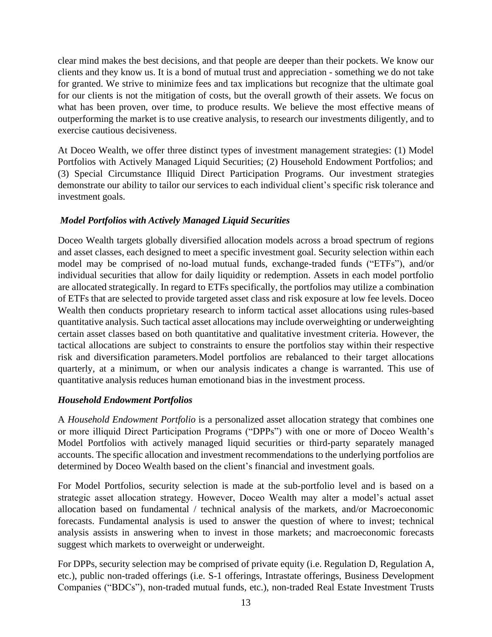clear mind makes the best decisions, and that people are deeper than their pockets. We know our clients and they know us. It is a bond of mutual trust and appreciation - something we do not take for granted. We strive to minimize fees and tax implications but recognize that the ultimate goal for our clients is not the mitigation of costs, but the overall growth of their assets. We focus on what has been proven, over time, to produce results. We believe the most effective means of outperforming the market is to use creative analysis, to research our investments diligently, and to exercise cautious decisiveness.

At Doceo Wealth, we offer three distinct types of investment management strategies: (1) Model Portfolios with Actively Managed Liquid Securities; (2) Household Endowment Portfolios; and (3) Special Circumstance Illiquid Direct Participation Programs. Our investment strategies demonstrate our ability to tailor our services to each individual client's specific risk tolerance and investment goals.

## *Model Portfolios with Actively Managed Liquid Securities*

Doceo Wealth targets globally diversified allocation models across a broad spectrum of regions and asset classes, each designed to meet a specific investment goal. Security selection within each model may be comprised of no-load mutual funds, exchange-traded funds ("ETFs"), and/or individual securities that allow for daily liquidity or redemption. Assets in each model portfolio are allocated strategically. In regard to ETFs specifically, the portfolios may utilize a combination of ETFs that are selected to provide targeted asset class and risk exposure at low fee levels. Doceo Wealth then conducts proprietary research to inform tactical asset allocations using rules-based quantitative analysis. Such tactical asset allocations may include overweighting or underweighting certain asset classes based on both quantitative and qualitative investment criteria. However, the tactical allocations are subject to constraints to ensure the portfolios stay within their respective risk and diversification parameters.Model portfolios are rebalanced to their target allocations quarterly, at a minimum, or when our analysis indicates a change is warranted. This use of quantitative analysis reduces human emotionand bias in the investment process.

## *Household Endowment Portfolios*

A *Household Endowment Portfolio* is a personalized asset allocation strategy that combines one or more illiquid Direct Participation Programs ("DPPs") with one or more of Doceo Wealth's Model Portfolios with actively managed liquid securities or third-party separately managed accounts. The specific allocation and investment recommendations to the underlying portfolios are determined by Doceo Wealth based on the client's financial and investment goals.

For Model Portfolios, security selection is made at the sub-portfolio level and is based on a strategic asset allocation strategy. However, Doceo Wealth may alter a model's actual asset allocation based on fundamental / technical analysis of the markets, and/or Macroeconomic forecasts. Fundamental analysis is used to answer the question of where to invest; technical analysis assists in answering when to invest in those markets; and macroeconomic forecasts suggest which markets to overweight or underweight.

For DPPs, security selection may be comprised of private equity (i.e. Regulation D, Regulation A, etc.), public non-traded offerings (i.e. S-1 offerings, Intrastate offerings, Business Development Companies ("BDCs"), non-traded mutual funds, etc.), non-traded Real Estate Investment Trusts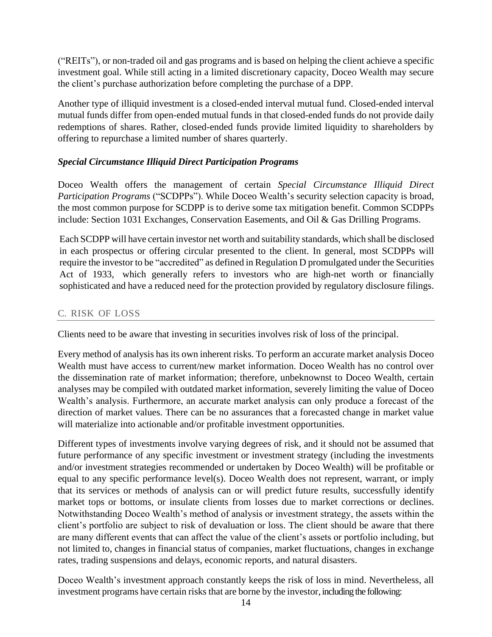("REITs"), or non-traded oil and gas programs and is based on helping the client achieve a specific investment goal. While still acting in a limited discretionary capacity, Doceo Wealth may secure the client's purchase authorization before completing the purchase of a DPP.

Another type of illiquid investment is a closed-ended interval mutual fund. Closed-ended interval mutual funds differ from open-ended mutual funds in that closed-ended funds do not provide daily redemptions of shares. Rather, closed-ended funds provide limited liquidity to shareholders by offering to repurchase a limited number of shares quarterly.

## *Special Circumstance Illiquid Direct Participation Programs*

Doceo Wealth offers the management of certain *Special Circumstance Illiquid Direct Participation Programs* ("SCDPPs"). While Doceo Wealth's security selection capacity is broad, the most common purpose for SCDPP is to derive some tax mitigation benefit. Common SCDPPs include: Section 1031 Exchanges, Conservation Easements, and Oil & Gas Drilling Programs.

Each SCDPP will have certain investor net worth and suitability standards, which shall be disclosed in each prospectus or offering circular presented to the client. In general, most SCDPPs will require the investor to be "accredited" as defined in Regulation D promulgated under the Securities Act of 1933, which generally refers to investors who are high-net worth or financially sophisticated and have a reduced need for the protection provided by regulatory disclosure filings.

## C. RISK OF LOSS

Clients need to be aware that investing in securities involves risk of loss of the principal.

Every method of analysis has its own inherent risks. To perform an accurate market analysis Doceo Wealth must have access to current/new market information. Doceo Wealth has no control over the dissemination rate of market information; therefore, unbeknownst to Doceo Wealth, certain analyses may be compiled with outdated market information, severely limiting the value of Doceo Wealth's analysis. Furthermore, an accurate market analysis can only produce a forecast of the direction of market values. There can be no assurances that a forecasted change in market value will materialize into actionable and/or profitable investment opportunities.

Different types of investments involve varying degrees of risk, and it should not be assumed that future performance of any specific investment or investment strategy (including the investments and/or investment strategies recommended or undertaken by Doceo Wealth) will be profitable or equal to any specific performance level(s). Doceo Wealth does not represent, warrant, or imply that its services or methods of analysis can or will predict future results, successfully identify market tops or bottoms, or insulate clients from losses due to market corrections or declines. Notwithstanding Doceo Wealth's method of analysis or investment strategy, the assets within the client's portfolio are subject to risk of devaluation or loss. The client should be aware that there are many different events that can affect the value of the client's assets or portfolio including, but not limited to, changes in financial status of companies, market fluctuations, changes in exchange rates, trading suspensions and delays, economic reports, and natural disasters.

Doceo Wealth's investment approach constantly keeps the risk of loss in mind. Nevertheless, all investment programs have certain risks that are borne by the investor, including the following: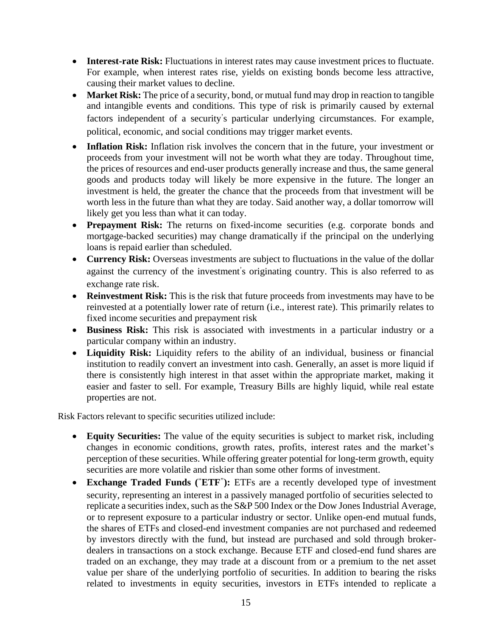- **Interest-rate Risk:** Fluctuations in interest rates may cause investment prices to fluctuate. For example, when interest rates rise, yields on existing bonds become less attractive, causing their market values to decline.
- **Market Risk:** The price of a security, bond, or mutual fund may drop in reaction to tangible and intangible events and conditions. This type of risk is primarily caused by external factors independent of a security's particular underlying circumstances. For example, political, economic, and social conditions may trigger market events.
- **Inflation Risk:** Inflation risk involves the concern that in the future, your investment or proceeds from your investment will not be worth what they are today. Throughout time, the prices of resources and end-user products generally increase and thus, the same general goods and products today will likely be more expensive in the future. The longer an investment is held, the greater the chance that the proceeds from that investment will be worth less in the future than what they are today. Said another way, a dollar tomorrow will likely get you less than what it can today.
- **Prepayment Risk:** The returns on fixed-income securities (e.g. corporate bonds and mortgage-backed securities) may change dramatically if the principal on the underlying loans is repaid earlier than scheduled.
- **Currency Risk:** Overseas investments are subject to fluctuations in the value of the dollar against the currency of the investment's originating country. This is also referred to as exchange rate risk.
- **Reinvestment Risk:** This is the risk that future proceeds from investments may have to be reinvested at a potentially lower rate of return (i.e., interest rate). This primarily relates to fixed income securities and prepayment risk
- **Business Risk:** This risk is associated with investments in a particular industry or a particular company within an industry.
- **Liquidity Risk:** Liquidity refers to the ability of an individual, business or financial institution to readily convert an investment into cash. Generally, an asset is more liquid if there is consistently high interest in that asset within the appropriate market, making it easier and faster to sell. For example, Treasury Bills are highly liquid, while real estate properties are not.

Risk Factors relevant to specific securities utilized include:

- **Equity Securities:** The value of the equity securities is subject to market risk, including changes in economic conditions, growth rates, profits, interest rates and the market's perception of these securities. While offering greater potential for long-term growth, equity securities are more volatile and riskier than some other forms of investment.
- **Exchange Traded Funds (**"**ETF**"**):** ETFs are a recently developed type of investment security, representing an interest in a passively managed portfolio of securities selected to replicate a securities index, such as the S&P 500 Index or the Dow Jones Industrial Average, or to represent exposure to a particular industry or sector. Unlike open-end mutual funds, the shares of ETFs and closed-end investment companies are not purchased and redeemed by investors directly with the fund, but instead are purchased and sold through brokerdealers in transactions on a stock exchange. Because ETF and closed-end fund shares are traded on an exchange, they may trade at a discount from or a premium to the net asset value per share of the underlying portfolio of securities. In addition to bearing the risks related to investments in equity securities, investors in ETFs intended to replicate a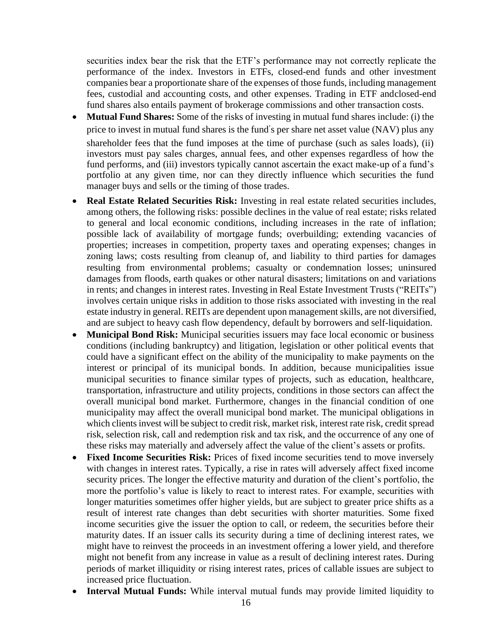securities index bear the risk that the ETF's performance may not correctly replicate the performance of the index. Investors in ETFs, closed-end funds and other investment companies bear a proportionate share of the expenses of those funds, including management fees, custodial and accounting costs, and other expenses. Trading in ETF andclosed-end fund shares also entails payment of brokerage commissions and other transaction costs.

- **Mutual Fund Shares:** Some of the risks of investing in mutual fund shares include: (i) the price to invest in mutual fund shares is the fund's per share net asset value (NAV) plus any shareholder fees that the fund imposes at the time of purchase (such as sales loads), (ii) investors must pay sales charges, annual fees, and other expenses regardless of how the fund performs, and (iii) investors typically cannot ascertain the exact make-up of a fund's portfolio at any given time, nor can they directly influence which securities the fund manager buys and sells or the timing of those trades.
- **Real Estate Related Securities Risk:** Investing in real estate related securities includes, among others, the following risks: possible declines in the value of real estate; risks related to general and local economic conditions, including increases in the rate of inflation; possible lack of availability of mortgage funds; overbuilding; extending vacancies of properties; increases in competition, property taxes and operating expenses; changes in zoning laws; costs resulting from cleanup of, and liability to third parties for damages resulting from environmental problems; casualty or condemnation losses; uninsured damages from floods, earth quakes or other natural disasters; limitations on and variations in rents; and changes in interest rates. Investing in Real Estate Investment Trusts ("REITs") involves certain unique risks in addition to those risks associated with investing in the real estate industry in general. REITs are dependent upon management skills, are not diversified, and are subject to heavy cash flow dependency, default by borrowers and self-liquidation.
- **Municipal Bond Risk:** Municipal securities issuers may face local economic or business conditions (including bankruptcy) and litigation, legislation or other political events that could have a significant effect on the ability of the municipality to make payments on the interest or principal of its municipal bonds. In addition, because municipalities issue municipal securities to finance similar types of projects, such as education, healthcare, transportation, infrastructure and utility projects, conditions in those sectors can affect the overall municipal bond market. Furthermore, changes in the financial condition of one municipality may affect the overall municipal bond market. The municipal obligations in which clients invest will be subject to credit risk, market risk, interest rate risk, credit spread risk, selection risk, call and redemption risk and tax risk, and the occurrence of any one of these risks may materially and adversely affect the value of the client's assets or profits.
- **Fixed Income Securities Risk:** Prices of fixed income securities tend to move inversely with changes in interest rates. Typically, a rise in rates will adversely affect fixed income security prices. The longer the effective maturity and duration of the client's portfolio, the more the portfolio's value is likely to react to interest rates. For example, securities with longer maturities sometimes offer higher yields, but are subject to greater price shifts as a result of interest rate changes than debt securities with shorter maturities. Some fixed income securities give the issuer the option to call, or redeem, the securities before their maturity dates. If an issuer calls its security during a time of declining interest rates, we might have to reinvest the proceeds in an investment offering a lower yield, and therefore might not benefit from any increase in value as a result of declining interest rates. During periods of market illiquidity or rising interest rates, prices of callable issues are subject to increased price fluctuation.
- **Interval Mutual Funds:** While interval mutual funds may provide limited liquidity to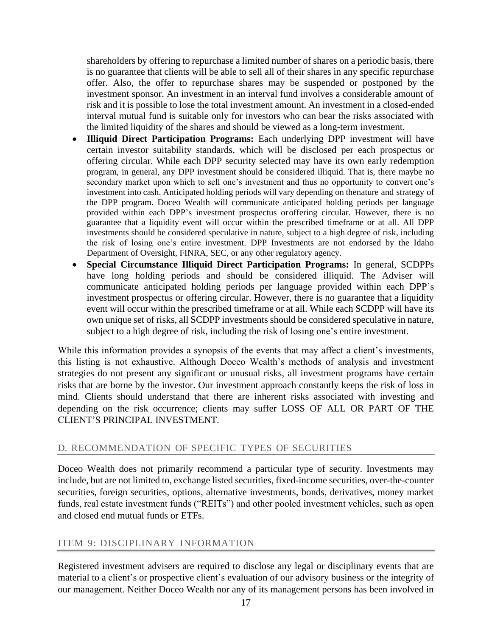shareholders by offering to repurchase a limited number of shares on a periodic basis, there is no guarantee that clients will be able to sell all of their shares in any specific repurchase offer. Also, the offer to repurchase shares may be suspended or postponed by the investment sponsor. An investment in an interval fund involves a considerable amount of risk and it is possible to lose the total investment amount. An investment in a closed-ended interval mutual fund is suitable only for investors who can bear the risks associated with the limited liquidity of the shares and should be viewed as a long-term investment.

- **Illiquid Direct Participation Programs:** Each underlying DPP investment will have certain investor suitability standards, which will be disclosed per each prospectus or offering circular. While each DPP security selected may have its own early redemption program, in general, any DPP investment should be considered illiquid. That is, there maybe no secondary market upon which to sell one's investment and thus no opportunity to convert one's investment into cash. Anticipated holding periods will vary depending on thenature and strategy of the DPP program. Doceo Wealth will communicate anticipated holding periods per language provided within each DPP's investment prospectus oroffering circular. However, there is no guarantee that a liquidity event will occur within the prescribed timeframe or at all. All DPP investments should be considered speculative in nature, subject to a high degree of risk, including the risk of losing one's entire investment. DPP Investments are not endorsed by the Idaho Department of Oversight, FINRA, SEC, or any other regulatory agency.
- **Special Circumstance Illiquid Direct Participation Programs:** In general, SCDPPs have long holding periods and should be considered illiquid. The Adviser will communicate anticipated holding periods per language provided within each DPP's investment prospectus or offering circular. However, there is no guarantee that a liquidity event will occur within the prescribed timeframe or at all. While each SCDPP will have its own unique set of risks, all SCDPP investments should be considered speculative in nature, subject to a high degree of risk, including the risk of losing one's entire investment.

While this information provides a synopsis of the events that may affect a client's investments, this listing is not exhaustive. Although Doceo Wealth's methods of analysis and investment strategies do not present any significant or unusual risks, all investment programs have certain risks that are borne by the investor. Our investment approach constantly keeps the risk of loss in mind. Clients should understand that there are inherent risks associated with investing and depending on the risk occurrence; clients may suffer LOSS OF ALL OR PART OF THE CLIENT'S PRINCIPAL INVESTMENT.

#### D. RECOMMENDATION OF SPECIFIC TYPES OF SECURITIES

Doceo Wealth does not primarily recommend a particular type of security. Investments may include, but are not limited to, exchange listed securities, fixed-income securities, over-the-counter securities, foreign securities, options, alternative investments, bonds, derivatives, money market funds, real estate investment funds ("REITs") and other pooled investment vehicles, such as open and closed end mutual funds or ETFs.

#### <span id="page-17-0"></span>ITEM 9: DISCIPLINARY INFORMATION

Registered investment advisers are required to disclose any legal or disciplinary events that are material to a client's or prospective client's evaluation of our advisory business or the integrity of our management. Neither Doceo Wealth nor any of its management persons has been involved in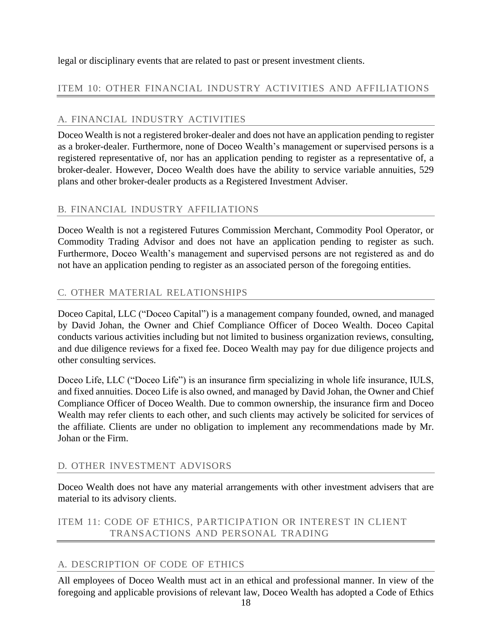legal or disciplinary events that are related to past or present investment clients.

## <span id="page-18-0"></span>ITEM 10: OTHER FINANCIAL INDUSTRY ACTIVITIES AND AFFILIATIONS

## A. FINANCIAL INDUSTRY ACTIVITIES

Doceo Wealth is not a registered broker-dealer and does not have an application pending to register as a broker-dealer. Furthermore, none of Doceo Wealth's management or supervised persons is a registered representative of, nor has an application pending to register as a representative of, a broker-dealer. However, Doceo Wealth does have the ability to service variable annuities, 529 plans and other broker-dealer products as a Registered Investment Adviser.

## B. FINANCIAL INDUSTRY AFFILIATIONS

Doceo Wealth is not a registered Futures Commission Merchant, Commodity Pool Operator, or Commodity Trading Advisor and does not have an application pending to register as such. Furthermore, Doceo Wealth's management and supervised persons are not registered as and do not have an application pending to register as an associated person of the foregoing entities.

## C. OTHER MATERIAL RELATIONSHIPS

Doceo Capital, LLC ("Doceo Capital") is a management company founded, owned, and managed by David Johan, the Owner and Chief Compliance Officer of Doceo Wealth. Doceo Capital conducts various activities including but not limited to business organization reviews, consulting, and due diligence reviews for a fixed fee. Doceo Wealth may pay for due diligence projects and other consulting services.

Doceo Life, LLC ("Doceo Life") is an insurance firm specializing in whole life insurance, IULS, and fixed annuities. Doceo Life is also owned, and managed by David Johan, the Owner and Chief Compliance Officer of Doceo Wealth. Due to common ownership, the insurance firm and Doceo Wealth may refer clients to each other, and such clients may actively be solicited for services of the affiliate. Clients are under no obligation to implement any recommendations made by Mr. Johan or the Firm.

## D. OTHER INVESTMENT ADVISORS

Doceo Wealth does not have any material arrangements with other investment advisers that are material to its advisory clients.

<span id="page-18-1"></span>ITEM 11: CODE OF ETHICS, PARTICIPATION OR INTEREST IN CLIENT TRANSACTIONS AND PERSONAL TRADING

## A. DESCRIPTION OF CODE OF ETHICS

All employees of Doceo Wealth must act in an ethical and professional manner. In view of the foregoing and applicable provisions of relevant law, Doceo Wealth has adopted a Code of Ethics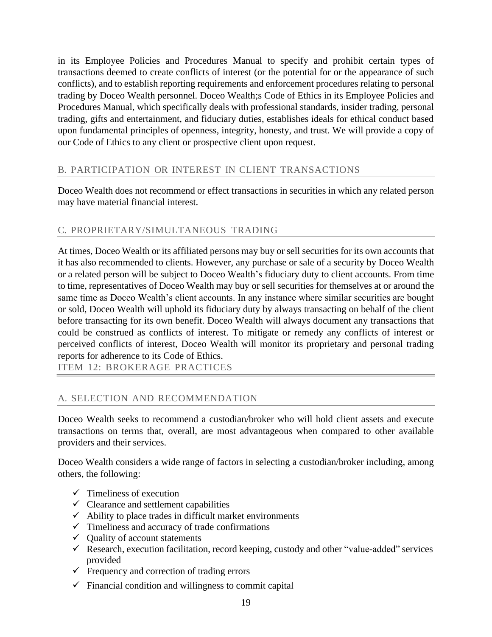in its Employee Policies and Procedures Manual to specify and prohibit certain types of transactions deemed to create conflicts of interest (or the potential for or the appearance of such conflicts), and to establish reporting requirements and enforcement procedures relating to personal trading by Doceo Wealth personnel. Doceo Wealth;s Code of Ethics in its Employee Policies and Procedures Manual, which specifically deals with professional standards, insider trading, personal trading, gifts and entertainment, and fiduciary duties, establishes ideals for ethical conduct based upon fundamental principles of openness, integrity, honesty, and trust. We will provide a copy of our Code of Ethics to any client or prospective client upon request.

## B. PARTICIPATION OR INTEREST IN CLIENT TRANSACTIONS

Doceo Wealth does not recommend or effect transactions in securities in which any related person may have material financial interest.

## C. PROPRIETARY/SIMULTANEOUS TRADING

At times, Doceo Wealth or its affiliated persons may buy or sell securities for its own accounts that it has also recommended to clients. However, any purchase or sale of a security by Doceo Wealth or a related person will be subject to Doceo Wealth's fiduciary duty to client accounts. From time to time, representatives of Doceo Wealth may buy or sell securities for themselves at or around the same time as Doceo Wealth's client accounts. In any instance where similar securities are bought or sold, Doceo Wealth will uphold its fiduciary duty by always transacting on behalf of the client before transacting for its own benefit. Doceo Wealth will always document any transactions that could be construed as conflicts of interest. To mitigate or remedy any conflicts of interest or perceived conflicts of interest, Doceo Wealth will monitor its proprietary and personal trading reports for adherence to its Code of Ethics.

<span id="page-19-0"></span>ITEM 12: BROKERAGE PRACTICES

## A. SELECTION AND RECOMMENDATION

Doceo Wealth seeks to recommend a custodian/broker who will hold client assets and execute transactions on terms that, overall, are most advantageous when compared to other available providers and their services.

Doceo Wealth considers a wide range of factors in selecting a custodian/broker including, among others, the following:

- $\checkmark$  Timeliness of execution
- $\checkmark$  Clearance and settlement capabilities
- $\checkmark$  Ability to place trades in difficult market environments
- $\checkmark$  Timeliness and accuracy of trade confirmations
- $\checkmark$  Quality of account statements
- $\checkmark$  Research, execution facilitation, record keeping, custody and other "value-added" services provided
- $\checkmark$  Frequency and correction of trading errors
- $\checkmark$  Financial condition and willingness to commit capital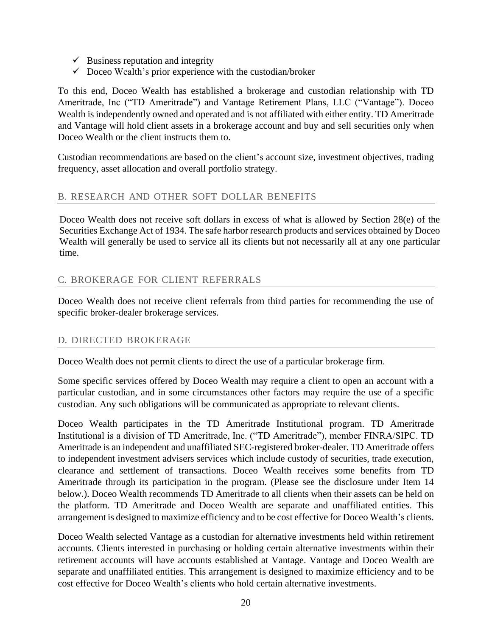- $\checkmark$  Business reputation and integrity
- $\checkmark$  Doceo Wealth's prior experience with the custodian/broker

To this end, Doceo Wealth has established a brokerage and custodian relationship with TD Ameritrade, Inc ("TD Ameritrade") and Vantage Retirement Plans, LLC ("Vantage"). Doceo Wealth is independently owned and operated and is not affiliated with either entity. TD Ameritrade and Vantage will hold client assets in a brokerage account and buy and sell securities only when Doceo Wealth or the client instructs them to.

Custodian recommendations are based on the client's account size, investment objectives, trading frequency, asset allocation and overall portfolio strategy.

## B. RESEARCH AND OTHER SOFT DOLLAR BENEFITS

Doceo Wealth does not receive soft dollars in excess of what is allowed by Section 28(e) of the Securities Exchange Act of 1934. The safe harbor research products and services obtained by Doceo Wealth will generally be used to service all its clients but not necessarily all at any one particular time.

## C. BROKERAGE FOR CLIENT REFERRALS

Doceo Wealth does not receive client referrals from third parties for recommending the use of specific broker-dealer brokerage services.

## D. DIRECTED BROKERAGE

Doceo Wealth does not permit clients to direct the use of a particular brokerage firm.

Some specific services offered by Doceo Wealth may require a client to open an account with a particular custodian, and in some circumstances other factors may require the use of a specific custodian. Any such obligations will be communicated as appropriate to relevant clients.

Doceo Wealth participates in the TD Ameritrade Institutional program. TD Ameritrade Institutional is a division of TD Ameritrade, Inc. ("TD Ameritrade"), member FINRA/SIPC. TD Ameritrade is an independent and unaffiliated SEC-registered broker-dealer. TD Ameritrade offers to independent investment advisers services which include custody of securities, trade execution, clearance and settlement of transactions. Doceo Wealth receives some benefits from TD Ameritrade through its participation in the program. (Please see the disclosure under Item 14 below.). Doceo Wealth recommends TD Ameritrade to all clients when their assets can be held on the platform. TD Ameritrade and Doceo Wealth are separate and unaffiliated entities. This arrangement is designed to maximize efficiency and to be cost effective for Doceo Wealth's clients.

Doceo Wealth selected Vantage as a custodian for alternative investments held within retirement accounts. Clients interested in purchasing or holding certain alternative investments within their retirement accounts will have accounts established at Vantage. Vantage and Doceo Wealth are separate and unaffiliated entities. This arrangement is designed to maximize efficiency and to be cost effective for Doceo Wealth's clients who hold certain alternative investments.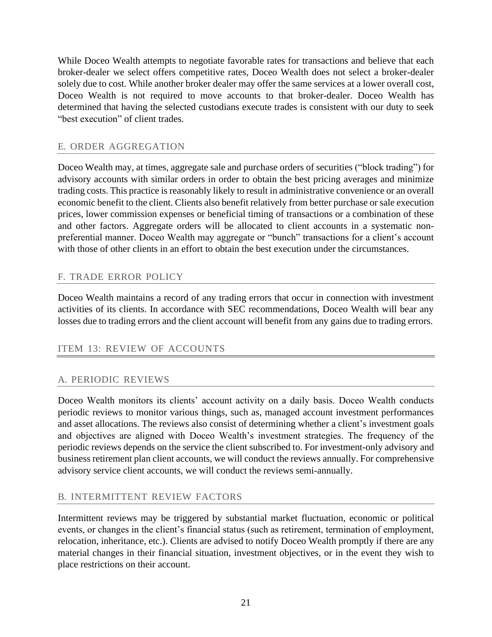While Doceo Wealth attempts to negotiate favorable rates for transactions and believe that each broker-dealer we select offers competitive rates, Doceo Wealth does not select a broker-dealer solely due to cost. While another broker dealer may offer the same services at a lower overall cost, Doceo Wealth is not required to move accounts to that broker-dealer. Doceo Wealth has determined that having the selected custodians execute trades is consistent with our duty to seek "best execution" of client trades.

## E. ORDER AGGREGATION

Doceo Wealth may, at times, aggregate sale and purchase orders of securities ("block trading") for advisory accounts with similar orders in order to obtain the best pricing averages and minimize trading costs. This practice is reasonably likely to result in administrative convenience or an overall economic benefit to the client. Clients also benefit relatively from better purchase or sale execution prices, lower commission expenses or beneficial timing of transactions or a combination of these and other factors. Aggregate orders will be allocated to client accounts in a systematic nonpreferential manner. Doceo Wealth may aggregate or "bunch" transactions for a client's account with those of other clients in an effort to obtain the best execution under the circumstances.

## F. TRADE ERROR POLICY

Doceo Wealth maintains a record of any trading errors that occur in connection with investment activities of its clients. In accordance with SEC recommendations, Doceo Wealth will bear any losses due to trading errors and the client account will benefit from any gains due to trading errors.

## <span id="page-21-0"></span>ITEM 13: REVIEW OF ACCOUNTS

## A. PERIODIC REVIEWS

Doceo Wealth monitors its clients' account activity on a daily basis. Doceo Wealth conducts periodic reviews to monitor various things, such as, managed account investment performances and asset allocations. The reviews also consist of determining whether a client's investment goals and objectives are aligned with Doceo Wealth's investment strategies. The frequency of the periodic reviews depends on the service the client subscribed to. For investment-only advisory and business retirement plan client accounts, we will conduct the reviews annually. For comprehensive advisory service client accounts, we will conduct the reviews semi-annually.

## B. INTERMITTENT REVIEW FACTORS

Intermittent reviews may be triggered by substantial market fluctuation, economic or political events, or changes in the client's financial status (such as retirement, termination of employment, relocation, inheritance, etc.). Clients are advised to notify Doceo Wealth promptly if there are any material changes in their financial situation, investment objectives, or in the event they wish to place restrictions on their account.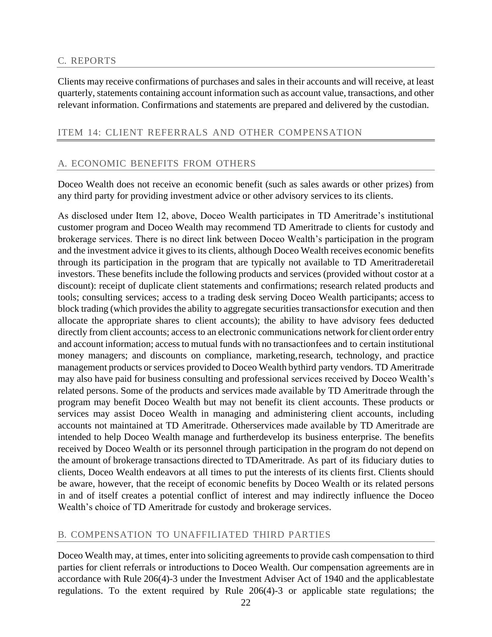#### C. REPORTS

Clients may receive confirmations of purchases and sales in their accounts and will receive, at least quarterly, statements containing account information such as account value, transactions, and other relevant information. Confirmations and statements are prepared and delivered by the custodian.

#### <span id="page-22-0"></span>ITEM 14: CLIENT REFERRALS AND OTHER COMPENSATION

#### A. ECONOMIC BENEFITS FROM OTHERS

Doceo Wealth does not receive an economic benefit (such as sales awards or other prizes) from any third party for providing investment advice or other advisory services to its clients.

As disclosed under Item 12, above, Doceo Wealth participates in TD Ameritrade's institutional customer program and Doceo Wealth may recommend TD Ameritrade to clients for custody and brokerage services. There is no direct link between Doceo Wealth's participation in the program and the investment advice it gives to its clients, although Doceo Wealth receives economic benefits through its participation in the program that are typically not available to TD Ameritraderetail investors. These benefits include the following products and services (provided without costor at a discount): receipt of duplicate client statements and confirmations; research related products and tools; consulting services; access to a trading desk serving Doceo Wealth participants; access to block trading (which provides the ability to aggregate securities transactions for execution and then allocate the appropriate shares to client accounts); the ability to have advisory fees deducted directly from client accounts; access to an electronic communications network for client order entry and account information; accessto mutual funds with no transactionfees and to certain institutional money managers; and discounts on compliance, marketing,research, technology, and practice management products or services provided to Doceo Wealth bythird party vendors. TD Ameritrade may also have paid for business consulting and professional services received by Doceo Wealth's related persons. Some of the products and services made available by TD Ameritrade through the program may benefit Doceo Wealth but may not benefit its client accounts. These products or services may assist Doceo Wealth in managing and administering client accounts, including accounts not maintained at TD Ameritrade. Otherservices made available by TD Ameritrade are intended to help Doceo Wealth manage and furtherdevelop its business enterprise. The benefits received by Doceo Wealth or its personnel through participation in the program do not depend on the amount of brokerage transactions directed to TDAmeritrade. As part of its fiduciary duties to clients, Doceo Wealth endeavors at all times to put the interests of its clients first. Clients should be aware, however, that the receipt of economic benefits by Doceo Wealth or its related persons in and of itself creates a potential conflict of interest and may indirectly influence the Doceo Wealth's choice of TD Ameritrade for custody and brokerage services.

#### B. COMPENSATION TO UNAFFILIATED THIRD PARTIES

Doceo Wealth may, at times, enter into soliciting agreements to provide cash compensation to third parties for client referrals or introductions to Doceo Wealth. Our compensation agreements are in accordance with Rule 206(4)-3 under the Investment Adviser Act of 1940 and the applicablestate regulations. To the extent required by Rule 206(4)-3 or applicable state regulations; the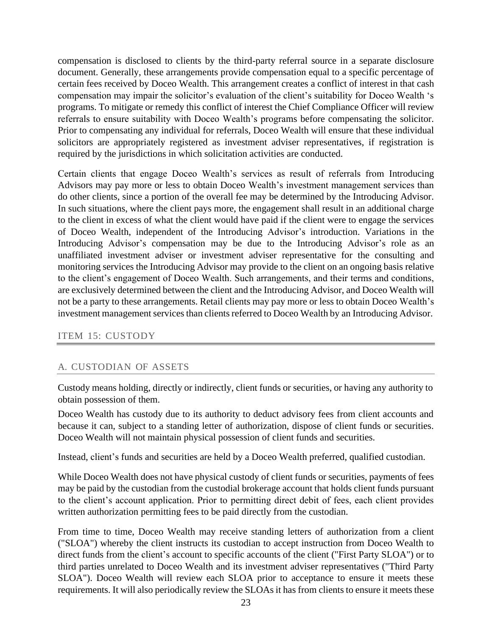compensation is disclosed to clients by the third-party referral source in a separate disclosure document. Generally, these arrangements provide compensation equal to a specific percentage of certain fees received by Doceo Wealth. This arrangement creates a conflict of interest in that cash compensation may impair the solicitor's evaluation of the client's suitability for Doceo Wealth 's programs. To mitigate or remedy this conflict of interest the Chief Compliance Officer will review referrals to ensure suitability with Doceo Wealth's programs before compensating the solicitor. Prior to compensating any individual for referrals, Doceo Wealth will ensure that these individual solicitors are appropriately registered as investment adviser representatives, if registration is required by the jurisdictions in which solicitation activities are conducted.

Certain clients that engage Doceo Wealth's services as result of referrals from Introducing Advisors may pay more or less to obtain Doceo Wealth's investment management services than do other clients, since a portion of the overall fee may be determined by the Introducing Advisor. In such situations, where the client pays more, the engagement shall result in an additional charge to the client in excess of what the client would have paid if the client were to engage the services of Doceo Wealth, independent of the Introducing Advisor's introduction. Variations in the Introducing Advisor's compensation may be due to the Introducing Advisor's role as an unaffiliated investment adviser or investment adviser representative for the consulting and monitoring services the Introducing Advisor may provide to the client on an ongoing basis relative to the client's engagement of Doceo Wealth. Such arrangements, and their terms and conditions, are exclusively determined between the client and the Introducing Advisor, and Doceo Wealth will not be a party to these arrangements. Retail clients may pay more or less to obtain Doceo Wealth's investment management services than clients referred to Doceo Wealth by an Introducing Advisor.

## <span id="page-23-0"></span>ITEM 15: CUSTODY

## A. CUSTODIAN OF ASSETS

Custody means holding, directly or indirectly, client funds or securities, or having any authority to obtain possession of them.

Doceo Wealth has custody due to its authority to deduct advisory fees from client accounts and because it can, subject to a standing letter of authorization, dispose of client funds or securities. Doceo Wealth will not maintain physical possession of client funds and securities.

Instead, client's funds and securities are held by a Doceo Wealth preferred, qualified custodian.

While Doceo Wealth does not have physical custody of client funds or securities, payments of fees may be paid by the custodian from the custodial brokerage account that holds client funds pursuant to the client's account application. Prior to permitting direct debit of fees, each client provides written authorization permitting fees to be paid directly from the custodian.

From time to time, Doceo Wealth may receive standing letters of authorization from a client ("SLOA") whereby the client instructs its custodian to accept instruction from Doceo Wealth to direct funds from the client's account to specific accounts of the client ("First Party SLOA") or to third parties unrelated to Doceo Wealth and its investment adviser representatives ("Third Party SLOA"). Doceo Wealth will review each SLOA prior to acceptance to ensure it meets these requirements. It will also periodically review the SLOAs it has from clients to ensure it meets these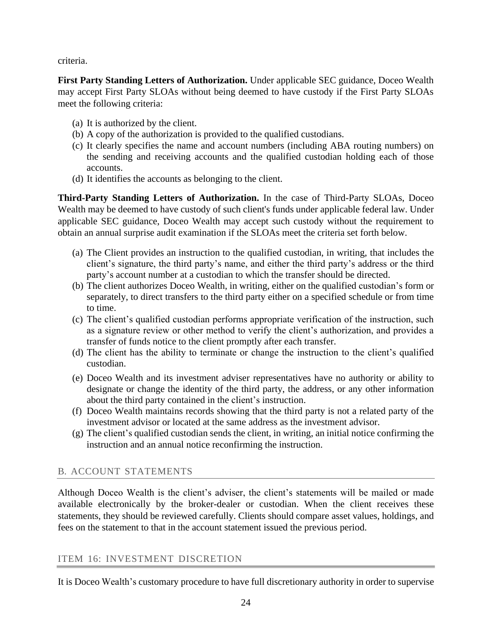criteria.

**First Party Standing Letters of Authorization.** Under applicable SEC guidance, Doceo Wealth may accept First Party SLOAs without being deemed to have custody if the First Party SLOAs meet the following criteria:

- (a) It is authorized by the client.
- (b) A copy of the authorization is provided to the qualified custodians.
- (c) It clearly specifies the name and account numbers (including ABA routing numbers) on the sending and receiving accounts and the qualified custodian holding each of those accounts.
- (d) It identifies the accounts as belonging to the client.

**Third-Party Standing Letters of Authorization.** In the case of Third-Party SLOAs, Doceo Wealth may be deemed to have custody of such client's funds under applicable federal law. Under applicable SEC guidance, Doceo Wealth may accept such custody without the requirement to obtain an annual surprise audit examination if the SLOAs meet the criteria set forth below.

- (a) The Client provides an instruction to the qualified custodian, in writing, that includes the client's signature, the third party's name, and either the third party's address or the third party's account number at a custodian to which the transfer should be directed.
- (b) The client authorizes Doceo Wealth, in writing, either on the qualified custodian's form or separately, to direct transfers to the third party either on a specified schedule or from time to time.
- (c) The client's qualified custodian performs appropriate verification of the instruction, such as a signature review or other method to verify the client's authorization, and provides a transfer of funds notice to the client promptly after each transfer.
- (d) The client has the ability to terminate or change the instruction to the client's qualified custodian.
- (e) Doceo Wealth and its investment adviser representatives have no authority or ability to designate or change the identity of the third party, the address, or any other information about the third party contained in the client's instruction.
- (f) Doceo Wealth maintains records showing that the third party is not a related party of the investment advisor or located at the same address as the investment advisor.
- (g) The client's qualified custodian sends the client, in writing, an initial notice confirming the instruction and an annual notice reconfirming the instruction.

## B. ACCOUNT STATEMENTS

Although Doceo Wealth is the client's adviser, the client's statements will be mailed or made available electronically by the broker-dealer or custodian. When the client receives these statements, they should be reviewed carefully. Clients should compare asset values, holdings, and fees on the statement to that in the account statement issued the previous period.

## <span id="page-24-0"></span>ITEM 16: INVESTMENT DISCRETION

It is Doceo Wealth's customary procedure to have full discretionary authority in order to supervise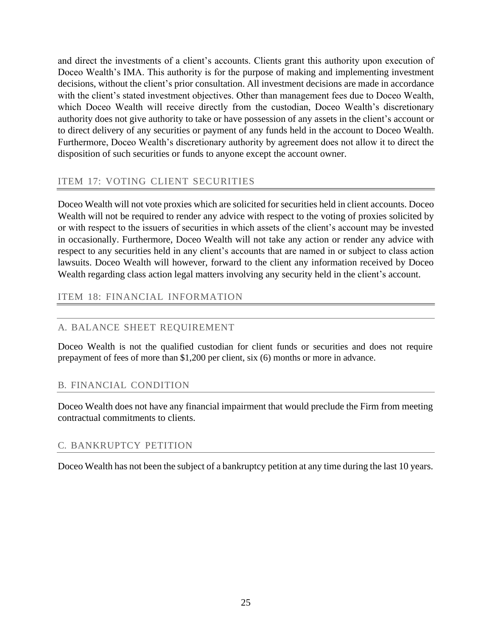and direct the investments of a client's accounts. Clients grant this authority upon execution of Doceo Wealth's IMA. This authority is for the purpose of making and implementing investment decisions, without the client's prior consultation. All investment decisions are made in accordance with the client's stated investment objectives. Other than management fees due to Doceo Wealth, which Doceo Wealth will receive directly from the custodian, Doceo Wealth's discretionary authority does not give authority to take or have possession of any assets in the client's account or to direct delivery of any securities or payment of any funds held in the account to Doceo Wealth. Furthermore, Doceo Wealth's discretionary authority by agreement does not allow it to direct the disposition of such securities or funds to anyone except the account owner.

## <span id="page-25-0"></span>ITEM 17: VOTING CLIENT SECURITIES

Doceo Wealth will not vote proxies which are solicited for securities held in client accounts. Doceo Wealth will not be required to render any advice with respect to the voting of proxies solicited by or with respect to the issuers of securities in which assets of the client's account may be invested in occasionally. Furthermore, Doceo Wealth will not take any action or render any advice with respect to any securities held in any client's accounts that are named in or subject to class action lawsuits. Doceo Wealth will however, forward to the client any information received by Doceo Wealth regarding class action legal matters involving any security held in the client's account.

## <span id="page-25-1"></span>ITEM 18: FINANCIAL INFORMATION

## A. BALANCE SHEET REQUIREMENT

Doceo Wealth is not the qualified custodian for client funds or securities and does not require prepayment of fees of more than \$1,200 per client, six (6) months or more in advance.

## B. FINANCIAL CONDITION

Doceo Wealth does not have any financial impairment that would preclude the Firm from meeting contractual commitments to clients.

## C. BANKRUPTCY PETITION

Doceo Wealth has not been the subject of a bankruptcy petition at any time during the last 10 years.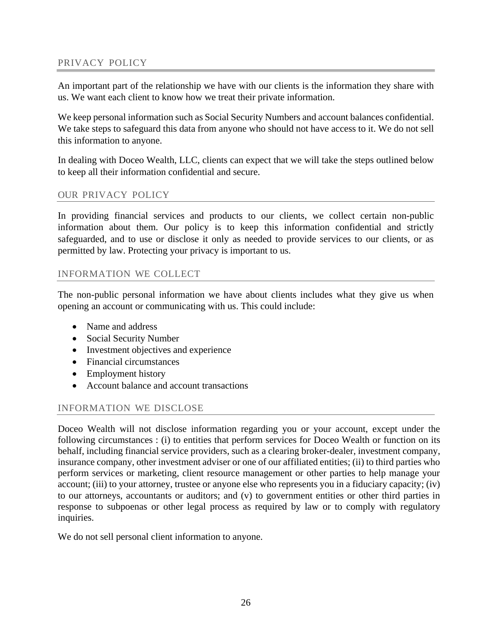## <span id="page-26-0"></span>PRIVACY POLICY

An important part of the relationship we have with our clients is the information they share with us. We want each client to know how we treat their private information.

We keep personal information such as Social Security Numbers and account balances confidential. We take steps to safeguard this data from anyone who should not have access to it. We do not sell this information to anyone.

In dealing with Doceo Wealth, LLC, clients can expect that we will take the steps outlined below to keep all their information confidential and secure.

#### OUR PRIVACY POLICY

In providing financial services and products to our clients, we collect certain non-public information about them. Our policy is to keep this information confidential and strictly safeguarded, and to use or disclose it only as needed to provide services to our clients, or as permitted by law. Protecting your privacy is important to us.

#### INFORMATION WE COLLECT

The non-public personal information we have about clients includes what they give us when opening an account or communicating with us. This could include:

- Name and address
- Social Security Number
- Investment objectives and experience
- Financial circumstances
- Employment history
- Account balance and account transactions

## INFORMATION WE DISCLOSE

Doceo Wealth will not disclose information regarding you or your account, except under the following circumstances : (i) to entities that perform services for Doceo Wealth or function on its behalf, including financial service providers, such as a clearing broker-dealer, investment company, insurance company, other investment adviser or one of our affiliated entities; (ii) to third parties who perform services or marketing, client resource management or other parties to help manage your account; (iii) to your attorney, trustee or anyone else who represents you in a fiduciary capacity; (iv) to our attorneys, accountants or auditors; and (v) to government entities or other third parties in response to subpoenas or other legal process as required by law or to comply with regulatory inquiries.

We do not sell personal client information to anyone.